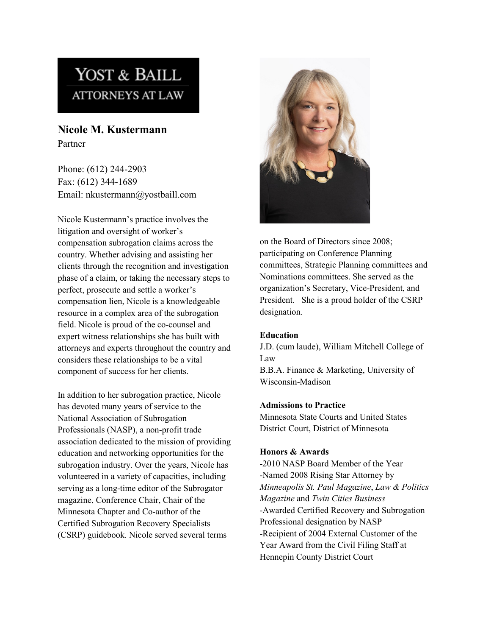# YOST & BAILL **ATTORNEYS AT LAW**

**Nicole M. Kustermann** Partner

Phone: (612) 244-2903 Fax: (612) 344-1689 Email: nkustermann@yostbaill.com

Nicole Kustermann's practice involves the litigation and oversight of worker's compensation subrogation claims across the country. Whether advising and assisting her clients through the recognition and investigation phase of a claim, or taking the necessary steps to perfect, prosecute and settle a worker's compensation lien, Nicole is a knowledgeable resource in a complex area of the subrogation field. Nicole is proud of the co-counsel and expert witness relationships she has built with attorneys and experts throughout the country and considers these relationships to be a vital component of success for her clients.

In addition to her subrogation practice, Nicole has devoted many years of service to the National Association of Subrogation Professionals (NASP), a non-profit trade association dedicated to the mission of providing education and networking opportunities for the subrogation industry. Over the years, Nicole has volunteered in a variety of capacities, including serving as a long-time editor of the Subrogator magazine, Conference Chair, Chair of the Minnesota Chapter and Co-author of the Certified Subrogation Recovery Specialists (CSRP) guidebook. Nicole served several terms



on the Board of Directors since 2008; participating on Conference Planning committees, Strategic Planning committees and Nominations committees. She served as the organization's Secretary, Vice-President, and President. She is a proud holder of the CSRP designation.

## **Education**

J.D. (cum laude), William Mitchell College of Law

B.B.A. Finance & Marketing, University of Wisconsin-Madison

## **Admissions to Practice**

Minnesota State Courts and United States District Court, District of Minnesota

## **Honors & Awards**

-2010 NASP Board Member of the Year -Named 2008 Rising Star Attorney by *Minneapolis St. Paul Magazine*, *Law & Politics Magazine* and *Twin Cities Business* -Awarded Certified Recovery and Subrogation Professional designation by NASP -Recipient of 2004 External Customer of the Year Award from the Civil Filing Staff at Hennepin County District Court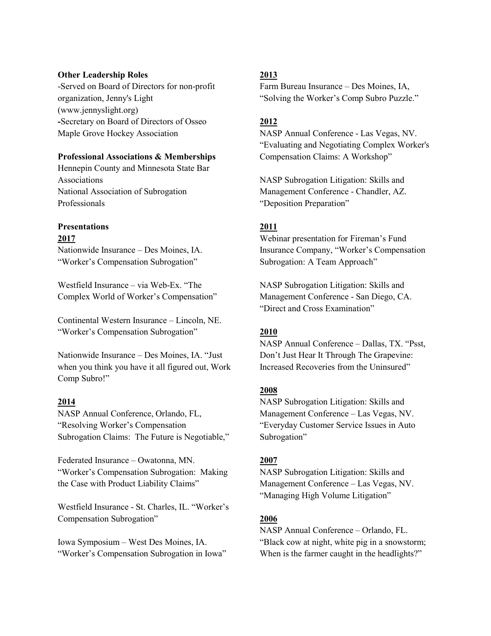#### **Other Leadership Roles**

-Served on Board of Directors for non-profit organization, Jenny's Light (www.jennyslight.org) **-**Secretary on Board of Directors of Osseo Maple Grove Hockey Association

#### **Professional Associations & Memberships**

Hennepin County and Minnesota State Bar Associations National Association of Subrogation Professionals

## **Presentations**

**2017** Nationwide Insurance – Des Moines, IA. "Worker's Compensation Subrogation"

Westfield Insurance – via Web-Ex. "The Complex World of Worker's Compensation"

Continental Western Insurance – Lincoln, NE. "Worker's Compensation Subrogation"

Nationwide Insurance – Des Moines, IA. "Just when you think you have it all figured out, Work Comp Subro!"

## **2014**

NASP Annual Conference, Orlando, FL, "Resolving Worker's Compensation Subrogation Claims: The Future is Negotiable,"

Federated Insurance – Owatonna, MN. "Worker's Compensation Subrogation: Making the Case with Product Liability Claims"

Westfield Insurance - St. Charles, IL. "Worker's Compensation Subrogation"

Iowa Symposium – West Des Moines, IA. "Worker's Compensation Subrogation in Iowa"

## **2013**

Farm Bureau Insurance – Des Moines, IA, "Solving the Worker's Comp Subro Puzzle."

## **2012**

NASP Annual Conference - Las Vegas, NV. "Evaluating and Negotiating Complex Worker's Compensation Claims: A Workshop"

NASP Subrogation Litigation: Skills and Management Conference - Chandler, AZ. "Deposition Preparation"

## **2011**

Webinar presentation for Fireman's Fund Insurance Company, "Worker's Compensation Subrogation: A Team Approach"

NASP Subrogation Litigation: Skills and Management Conference - San Diego, CA. "Direct and Cross Examination"

## **2010**

NASP Annual Conference – Dallas, TX. "Psst, Don't Just Hear It Through The Grapevine: Increased Recoveries from the Uninsured"

## **2008**

NASP Subrogation Litigation: Skills and Management Conference – Las Vegas, NV. "Everyday Customer Service Issues in Auto Subrogation"

## **2007**

NASP Subrogation Litigation: Skills and Management Conference – Las Vegas, NV. "Managing High Volume Litigation"

## **2006**

NASP Annual Conference – Orlando, FL. "Black cow at night, white pig in a snowstorm; When is the farmer caught in the headlights?"